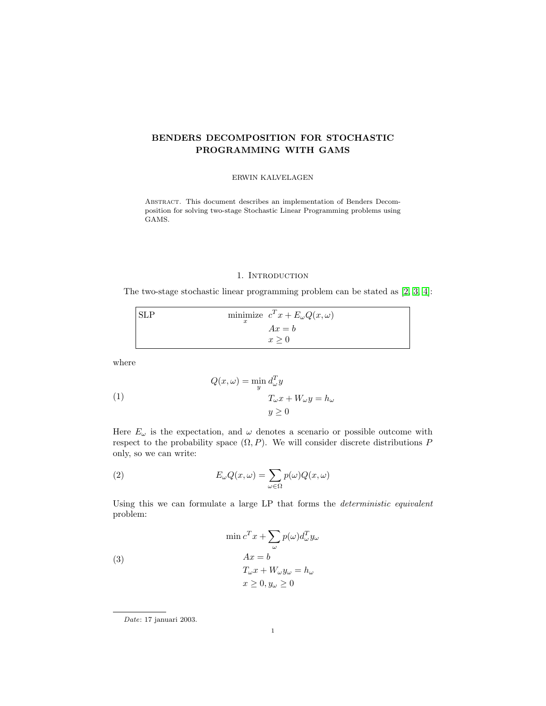## BENDERS DECOMPOSITION FOR STOCHASTIC PROGRAMMING WITH GAMS

#### ERWIN KALVELAGEN

Abstract. This document describes an implementation of Benders Decomposition for solving two-stage Stochastic Linear Programming problems using GAMS.

#### 1. INTRODUCTION

The two-stage stochastic linear programming problem can be stated as [\[2,](#page-9-0) [3,](#page-9-1) [4\]](#page-9-2):

|  | minimize $c^T x + E_{\omega} Q(x, \omega)$ |
|--|--------------------------------------------|
|  | $Ax = b$                                   |
|  | x > 0                                      |

where

(1) 
$$
Q(x,\omega) = \min_{y} d_{\omega}^{T} y
$$

$$
T_{\omega} x + W_{\omega} y = h_{\omega}
$$

$$
y \ge 0
$$

Here  $E_{\omega}$  is the expectation, and  $\omega$  denotes a scenario or possible outcome with respect to the probability space  $(\Omega, P)$ . We will consider discrete distributions P only, so we can write:

(2) 
$$
E_{\omega}Q(x,\omega) = \sum_{\omega \in \Omega} p(\omega)Q(x,\omega)
$$

Using this we can formulate a large LP that forms the deterministic equivalent problem:

(3)  
\n
$$
\min c^{T} x + \sum_{\omega} p(\omega) d_{\omega}^{T} y_{\omega}
$$
\n
$$
Ax = b
$$
\n
$$
T_{\omega} x + W_{\omega} y_{\omega} = h_{\omega}
$$
\n
$$
x \ge 0, y_{\omega} \ge 0
$$

Date: 17 januari 2003.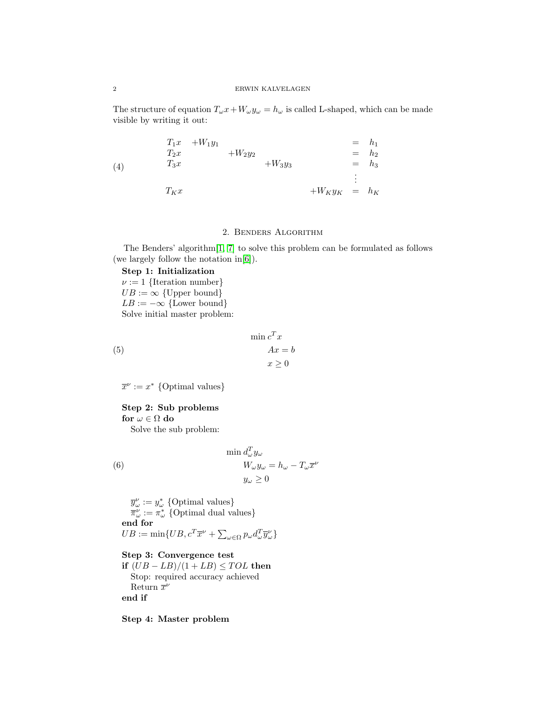The structure of equation  $T_{\omega}x+W_{\omega}y_{\omega}=h_{\omega}$  is called L-shaped, which can be made visible by writing it out:

(4) 
$$
T_1x + W_1y_1 = h_1 \n T_2x + W_2y_2 = h_2 \n T_3x + W_3y_3 = h_3 \n \vdots \n T_Kx + W_Ky_K = h_K
$$

## 2. Benders Algorithm

The Benders' algorithm[\[1,](#page-9-3) [7\]](#page-9-4) to solve this problem can be formulated as follows (we largely follow the notation in[\[6\]](#page-9-5)).

## Step 1: Initialization

 $\nu := 1$  {Iteration number}  $UB := \infty$  {Upper bound}  $LB := -\infty$  {Lower bound} Solve initial master problem:

$$
\min c^T x
$$

$$
Ax = b
$$

$$
x \ge 0
$$

 $\overline{x}^{\nu} := x^*$  {Optimal values}

(5)

# Step 2: Sub problems

for  $\omega \in \Omega$  do

Solve the sub problem:

 $\min d_{\omega}^T y_{\omega}$  $W_{\omega}y_{\omega} = h_{\omega} - T_{\omega}\overline{x}^{\nu}$  $y_\omega \geq 0$ (6)

 $\overline{y}^{\nu}_{\omega} := y^*_{\omega}$  {Optimal values}  $\overline{\pi}^{\nu}_{\omega} := \pi^*_{\omega}$  {Optimal dual values} end for  $UB := \min\{UB, c^T \overline{x}^{\nu} + \sum_{\omega \in \Omega} p_{\omega} d_{\omega}^T \overline{y}^{\nu}_{\omega}\}\$ 

Step 3: Convergence test if  $(UB - LB)/(1 + LB) \leq TOL$  then Stop: required accuracy achieved Return  $\bar{x}^{\nu}$ end if

Step 4: Master problem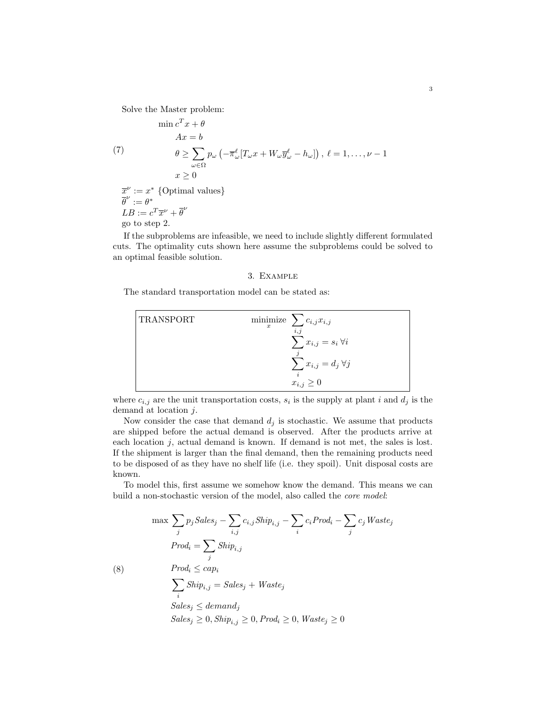Solve the Master problem:

$$
\min c^T x + \theta
$$
  
\n
$$
Ax = b
$$
  
\n(7)  
\n
$$
\theta \ge \sum_{\omega \in \Omega} p_{\omega} \left( -\overline{\pi}_{\omega}^{\ell} [T_{\omega} x + W_{\omega} \overline{y}_{\omega}^{\ell} - h_{\omega}] \right), \ell = 1, ..., \nu - 1
$$
  
\n
$$
x \ge 0
$$
  
\n
$$
\overline{x}^{\nu} := x^* \text{ {Optimal values}}
$$
  
\n
$$
\overline{\theta}^{\nu} := \theta^*
$$
  
\n
$$
LB := c^T \overline{x}^{\nu} + \overline{\theta}^{\nu}
$$

go to step 2.

If the subproblems are infeasible, we need to include slightly different formulated cuts. The optimality cuts shown here assume the subproblems could be solved to an optimal feasible solution.

#### 3. Example

The standard transportation model can be stated as:

TransPORT

\n
$$
\begin{array}{ll}\n\text{minimize} & \sum_{i,j} c_{i,j} x_{i,j} \\
\sum_{j} x_{i,j} = s_i \,\forall i \\
\sum_{i} x_{i,j} = d_j \,\forall j \\
x_{i,j} \geq 0\n\end{array}
$$

where  $c_{i,j}$  are the unit transportation costs,  $s_i$  is the supply at plant i and  $d_j$  is the demand at location j.

Now consider the case that demand  $d_j$  is stochastic. We assume that products are shipped before the actual demand is observed. After the products arrive at each location j, actual demand is known. If demand is not met, the sales is lost. If the shipment is larger than the final demand, then the remaining products need to be disposed of as they have no shelf life (i.e. they spoil). Unit disposal costs are known.

To model this, first assume we somehow know the demand. This means we can build a non-stochastic version of the model, also called the core model:

$$
\max \sum_{j} p_j Sales_j - \sum_{i,j} c_{i,j} Ship_{i,j} - \sum_{i} c_iProd_i - \sum_{j} c_j Waste_j
$$
  
\n
$$
Prod_i = \sum_{j} Ship_{i,j}
$$
  
\n(8) 
$$
Prod_i \le cap_i
$$
  
\n
$$
\sum_{i} Ship_{i,j} = Sales_j + Waste_j
$$
  
\n
$$
Sales_j \le demand_j
$$
  
\n
$$
Sales_j \ge 0, Ship_{i,j} \ge 0, Prod_i \ge 0, Waste_j \ge 0
$$

3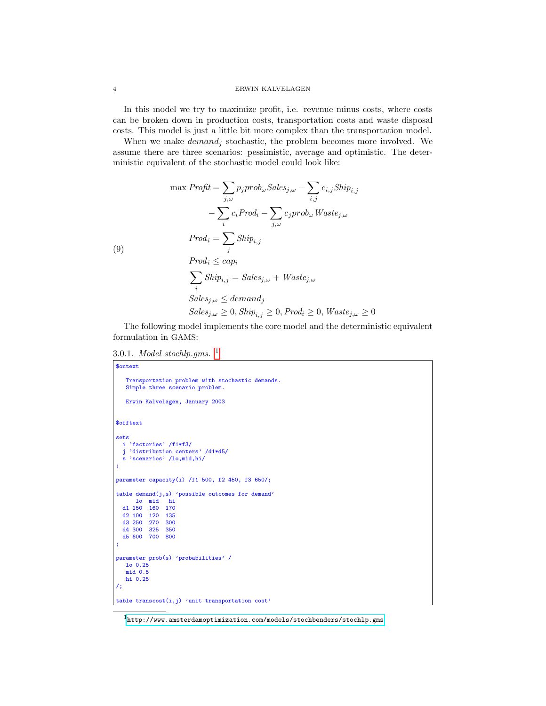#### 4 ERWIN KALVELAGEN

In this model we try to maximize profit, i.e. revenue minus costs, where costs can be broken down in production costs, transportation costs and waste disposal costs. This model is just a little bit more complex than the transportation model.

When we make  $demand_j$  stochastic, the problem becomes more involved. We assume there are three scenarios: pessimistic, average and optimistic. The deterministic equivalent of the stochastic model could look like:

$$
\max \text{Profit} = \sum_{j,\omega} p_j \text{prob}_{\omega} \text{Sales}_{j,\omega} - \sum_{i,j} c_{i,j} \text{Ship}_{i,j} \n- \sum_{i} c_i \text{Prod}_i - \sum_{j,\omega} c_j \text{prob}_{\omega} \text{Waste}_{j,\omega} \n\text{Prod}_i = \sum_{j} \text{Ship}_{i,j} \n\text{Prod}_i \leq cap_i \n\sum_{i} \text{Ship}_{i,j} = \text{Sales}_{j,\omega} + \text{Waste}_{j,\omega} \n\text{Sales}_{j,\omega} \leq \text{demand}_j \n\text{Sales}_{j,\omega} \geq 0, \text{Ship}_{i,j} \geq 0, \text{Prod}_i \geq 0, \text{Waste}_{j,\omega} \geq 0
$$

The following model implements the core model and the deterministic equivalent formulation in GAMS:

3.0.[1](#page-3-0). Model stochlp.gms.  $<sup>1</sup>$ </sup>

```
$ontext
   Transportation problem with stochastic demands.
   Simple three scenario problem.
   Erwin Kalvelagen, January 2003
$offtext
sets
  i 'factories' /f1*f3/
  j 'distribution centers' /d1*d5/
  s 'scenarios' /lo,mid,hi/
;
parameter capacity(i) /f1 500, f2 450, f3 650/;
table demand(j,s) 'possible outcomes for demand'
      lo mid hi
  d1 150 160 170
  d2 100 120 135
  d3 250 270
  d4 300 325 350
  d5 600 700 800
;
parameter prob(s) 'probabilities' /
  lo 0.25
   mid 0.5
   hi 0.25
/;
table transcost(i, j) 'unit transportation cost'
```
<span id="page-3-0"></span> $1$ <http://www.amsterdamoptimization.com/models/stochbenders/stochlp.gms>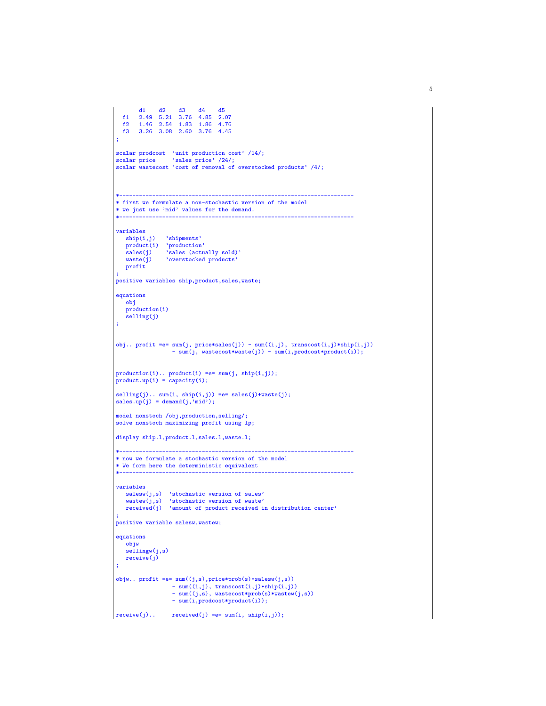```
d1 d2 d3 d4 d5
f1 2.49 5.21 3.76 4.85 2.07
   f2 1.46 2.54 1.83 1.86 4.76
        f3 3.26 3.08 2.60 3.76 4.45
 ;
 scalar prodcost 'unit production cost' /14/;
scalar price 'sales price' /24/;
scalar wastecost 'cost of removal of overstocked products' /4/;
 *-----------------------------------------------------------------------
* first we formulate a non-stochastic version of the model
 * we just use 'mid' values for the demand.
 *-----------------------------------------------------------------------
variables<br>\sinh(i, j)ship(i,j) 'shipments'<br>product(i) 'production'<br>sales(j) 'sales (actually sold)'<br>waste(j) 'overstocked products'
   profit
 ;
positive variables ship,product,sales,waste;
equations
    obj
    production(i)
    selling(j)
 ;
 obj.. profit =e= sum(j, price*sales(j)) - sum((i,j), transcost(i,j)*ship(i,j))
- sum(j, wastecost*waste(j)) - sum(i,prodcost*product(i));
 production(i).. product(i) =e= sum(j, ship(i,j));
product.up(i) = capacity(i);
\text{selling}(j) \ldots \text{ sum}(i, \text{ship}(i,j)) = e = \text{ sales}(j) + \text{waste}(j);sales.up(j) = demand(j,'mid');model nonstoch /obj,production,selling/;
 solve nonstoch maximizing profit using lp;
display ship.l,product.l,sales.l,waste.l;
 *-----------------------------------------------------------------------
 * now we formulate a stochastic version of the model
 * We form here the deterministic equivalent
                                                                  *-----------------------------------------------------------------------
variables
     salesw(j,s) 'stochastic version of sales'
wastew(j,s) 'stochastic version of waste'
    received(j) 'amount of product received in distribution center'
 ;
positive variable salesw,wastew;
 equations
   .<br>objw
    sellingw(j,s)
   receive(j)
 ;
objw.. profit =e= sum((j,s),price*prob(s)*salesw(j,s))
                      - sum((i,j), transcost(i,j)*ship(i,j))- sum((j,s), wastecost*prob(s)*wastew(j,s))
- sum(i,prodcost*product(i));
\vert receive(j).. received(j) =e= sum(i, ship(i,j));
```
5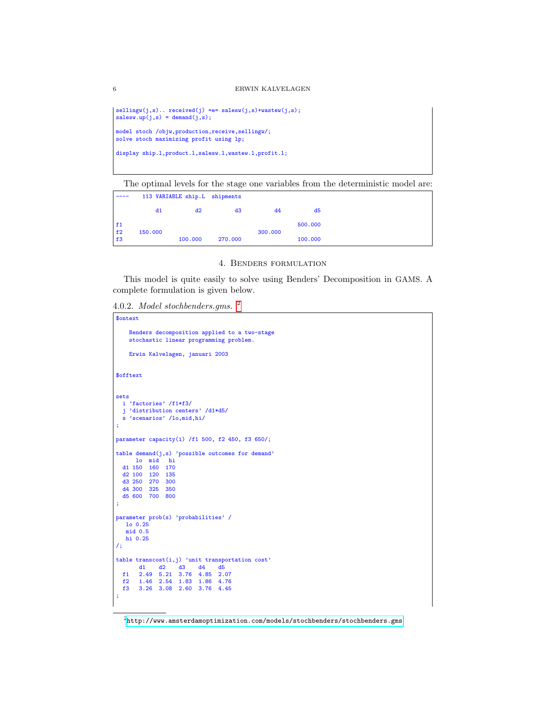```
sellingw(j,s).. received(j) =e= salesw(j,s)+wastew(j,s);
salesw.up(j,s) = demand(j,s);model stoch /objw,production,receive,sellingw/;
solve stoch maximizing profit using lp;
display ship.1,product.1,salesw.1,wastew.1,profit.1;
```
The optimal levels for the stage one variables from the deterministic model are:

|           | 113 VARIABLE ship.L shipments |         |         |         |         |
|-----------|-------------------------------|---------|---------|---------|---------|
|           | d1                            | d2      | d3      | d4      | d5      |
| f1<br> f2 | 150,000                       |         |         | 300,000 | 500,000 |
| f3        |                               | 100,000 | 270,000 |         | 100,000 |

### 4. Benders formulation

This model is quite easily to solve using Benders' Decomposition in GAMS. A complete formulation is given below.

4.0.2. Model stochbenders.gms. [2](#page-5-0)

```
$ontext
    Benders decomposition applied to a two-stage
    stochastic linear programming problem.
    Erwin Kalvelagen, januari 2003
$offtext
sets
 i 'factories' /f1*f3/
  j 'distribution centers' /d1*d5/
  s 'scenarios' /lo,mid,hi/
;
parameter capacity(i) /f1 500, f2 450, f3 650/;
table demand(j,s) 'possible outcomes for demand'
   lo mid hi
d1 150 160 170
  d2 100 120 135
  d3 250 270 300
  d4 300 325 350
  d5 600 700 800
;
parameter prob(s) 'probabilities' /
   lo 0.25
   mid 0.5
   hi 0.25
/;
table transcost(i,j) 'unit transportation cost'
d1 d2 d3 d4 d5
f1 2.49 5.21 3.76 4.85 2.07
 f2 1.46 2.54 1.83 1.86 4.76
      f3 3.26 3.08 2.60 3.76 4.45
;
```
<span id="page-5-0"></span> $^2$ <http://www.amsterdamoptimization.com/models/stochbenders/stochbenders.gms>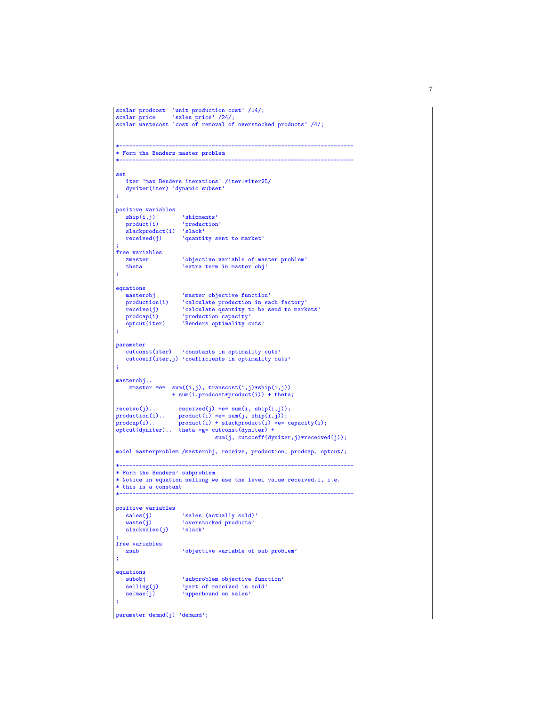```
scalar prodcost 'unit production cost' /14/;
 scalar price 'sales price' /24/;
 scalar wastecost 'cost of removal of overstocked products' /4/;
 *-----------------------------------------------------------------------
 * Form the Benders master problem
                                                        *-----------------------------------------------------------------------
 set
   iter 'max Benders iterations' /iter1*iter25/
   dyniter(iter) 'dynamic subset'
 ;
positive variables<br>ship(i,j)ship(i,j) 'shipments'<br>product(i) 'production
                       'production'
   slackproduct(i) 'slack'<br>received(j) 'quanti
                        'quantity sent to market'
 ;
free variables
   zmaster \qquad 'objective variable of master problem'<br>theta \qquad'extra term in master obj'
                     'extra term in master obj'
 ;
equations
                       'master objective function'
   production(i) 'calculate production in each factory'
                       'calculate quantity to be send to markets'
 prodcap(i) 'production capacity'
optcut(iter) 'Benders optimality cuts'
;
parameter
   cutconst(iter) 'constants in optimality cuts'
   cutcoeff(iter,j) 'coefficients in optimality cuts'
 ;
masterobj..
    zmaster =e= sum((i,j), transcost(i,j)*ship(i,j))+ sum(i,prodcost*product(i)) + theta;
receive(j).. receive(j) = e= sum(i, ship(i,j));production(i).. product(i) =e= sum(j, ship(i,j));
 prodcap(i).. product(i) + slackproduct(i) =e= capacity(i);
optcut(dyniter).. theta =g= cutconst(dyniter) +
                                   sum(j, cutcoeff(dyniter,j)*received(j));
 model masterproblem /masterobj, receive, production, prodcap, optcut/;
 *-----------------------------------------------------------------------
 * Form the Benders' subproblem
 * Notice in equation selling we use the level value received.l, i.e.
 * this is a constant
                           *-----------------------------------------------------------------------
positive variables
     sales(j) 'sales (actually sold)'
waste(j) 'overstocked products'
   slacksales(j) 'slack'
 ;
free variables
                       'objective variable of sub problem'
e value<br>
zsub<br>
;
equations<br>subobj<br>selling(j)
                       'subproblem objective function'
   \text{selling}(j) 'part of received is sold'<br>selmax(i) 'upperbound on sales'
                       'upperbound on sales'
 ;
parameter demnd(j) 'demand';
```
7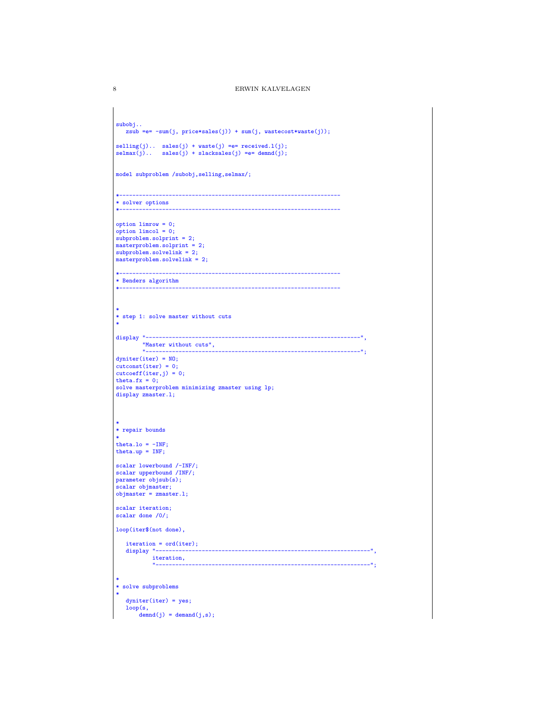```
subobj..
   zsub =e= -sum(j, price*sales(j)) + sum(j, wastecost*waste(j));selling(j).. sales(j) + waste(j) =e= received.l(j);
selmax(j).. sales(j) + slacksales(j) =e= demnd(j);
model subproblem /subobj,selling,selmax/;
*-------------------------------------------------------------------
* solver options
                                       *-------------------------------------------------------------------
option limrow = 0;
\phi option limcol = 0;
subproblem.solprint = 2;
masterproblem.solprint = 2;
subproblem.solvelink = 2;
masterproblem.solvelink = 2;
*-------------------------------------------------------------------
* Benders algorithm
*-------------------------------------------------------------------
*
* step 1: solve master without cuts
*
display "-----------------------------------------------------------------",
         "Master without cuts",
           "-----------------------------------------------------------------";
dyniter(iter) = NO;
cutconst(iter) = 0;
cutcoeff(iter,j) = 0;
theta.fx = 0;
solve masterproblem minimizing zmaster using lp;
display zmaster.1;
*
* repair bounds
*
theta.lo = -INF;
theta.up = INF;
scalar lowerbound /-INF/;
scalar upperbound /INF/;
parameter objsub(s);
scalar objmaster;
objmaster = zmaster.l;
scalar iteration;
scalar done /0/;
loop(iter$(not done),
   iteration = ord(iter);<br>display "---------------
                                                 display "-----------------------------------------------------------------",
             iteration,
                                                                     "-----------------------------------------------------------------";
*
* solve subproblems
*
   dyniter(iter) = yes;
    loop(s,
demnd(j) = demand(j,s);
```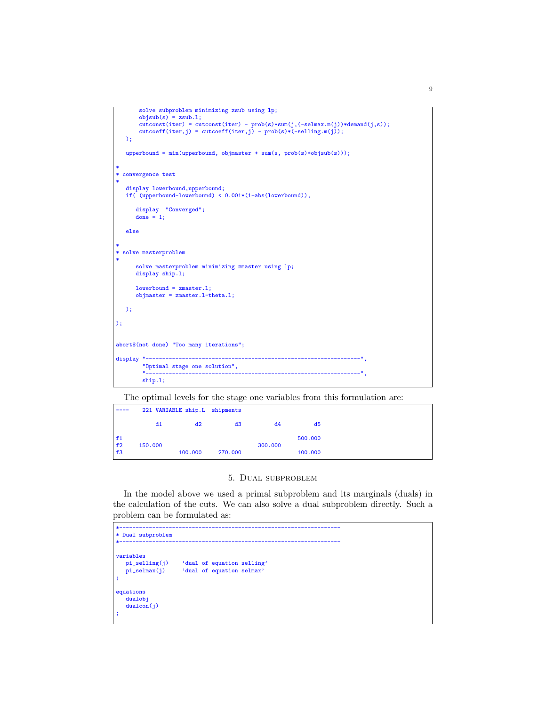```
solve subproblem minimizing zsub using lp;
       objsub(s) = zsub.1;
       \text{cutconst}(\text{iter}) = \text{cutconst}(\text{iter}) - \text{prob(s)} * \text{sum}(j, (-\text{selmax.m}(j)) * \text{demand}(j, s));cutoff(iter,j) = cutcoeff(iter,j) - prob(s)*(-selling.m(j)););
   upperbound = min(upperbound, objmaster + sum(s, prob(s)*objsub(s)));
*
* convergence test
*
   display lowerbound, upperbound;
  if( (upperbound-lowerbound) < 0.001*(1+abs(lowerbound)),
       display "Converged";
done = 1;
   else
*
* solve masterproblem
*
      solve masterproblem minimizing zmaster using lp;
      display ship.1;
       lowerbound = zmaster.l;
objmaster = zmaster.l-theta.l;
  );
);
abort$(not done) "Too many iterations";
display "--------------------------
         "Optimal stage one solution",
         "-----------------------------------------------------------------",
        ship.l;
```
The optimal levels for the stage one variables from this formulation are:

|          | 221 VARIABLE ship.L shipments |         |         |         |         |
|----------|-------------------------------|---------|---------|---------|---------|
|          | d1                            | d2      | d3      | d4      | d5      |
| f1<br>f2 | 150,000                       |         |         | 300,000 | 500,000 |
| f3       |                               | 100,000 | 270,000 |         | 100,000 |

## 5. Dual subproblem

In the model above we used a primal subproblem and its marginals (duals) in the calculation of the cuts. We can also solve a dual subproblem directly. Such a problem can be formulated as:

```
\mathcal{L}^{\mathcal{L}}(\mathcal{L}^{\mathcal{L}}) is the contribution of the contribution of the contribution of the contribution of the contribution of the contribution of the contribution of the contribution of the contribution of the cont
* Dual subproblem
*-------------------------------------------------------------------
variables<br>pi_selling(j)
     pi_selling(j) 'dual of equation selling'
                                      'dual of equation selmax'
;
equations
     dualobj
     dualcon(j)
;
```